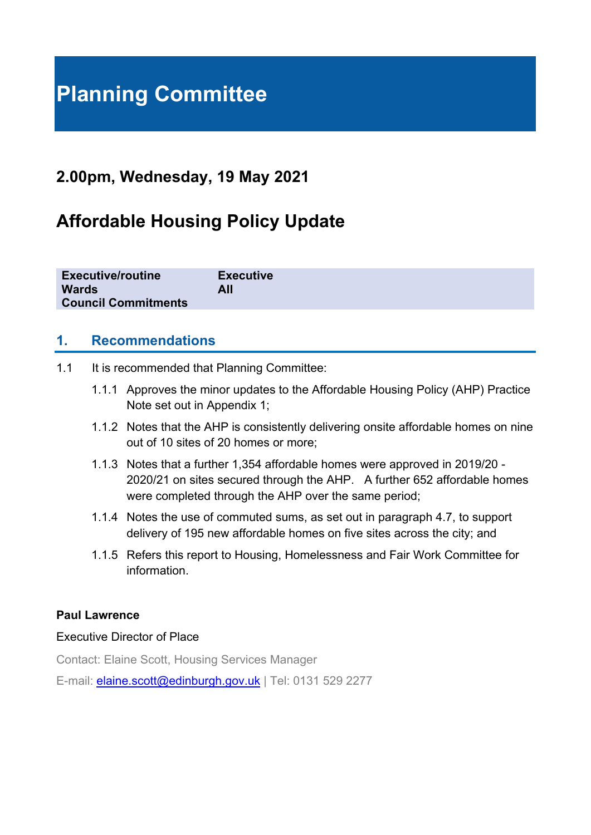# **Planning Committee**

# **2.00pm, Wednesday, 19 May 2021**

# **Affordable Housing Policy Update**

| <b>Executive/routine</b>   | <b>Executive</b> |
|----------------------------|------------------|
| <b>Wards</b>               | All              |
| <b>Council Commitments</b> |                  |

#### **1. Recommendations**

- 1.1 It is recommended that Planning Committee:
	- 1.1.1 Approves the minor updates to the Affordable Housing Policy (AHP) Practice Note set out in Appendix 1;
	- 1.1.2 Notes that the AHP is consistently delivering onsite affordable homes on nine out of 10 sites of 20 homes or more;
	- 1.1.3 Notes that a further 1,354 affordable homes were approved in 2019/20 2020/21 on sites secured through the AHP. A further 652 affordable homes were completed through the AHP over the same period:
	- 1.1.4 Notes the use of commuted sums, as set out in paragraph 4.7, to support delivery of 195 new affordable homes on five sites across the city; and
	- 1.1.5 Refers this report to Housing, Homelessness and Fair Work Committee for information.

#### **Paul Lawrence**

#### Executive Director of Place

Contact: Elaine Scott, Housing Services Manager

E-mail: *[elaine.scott@edinburgh.gov.uk](mailto:elaine.scott@edinburgh.gov.uk)* | Tel: 0131 529 2277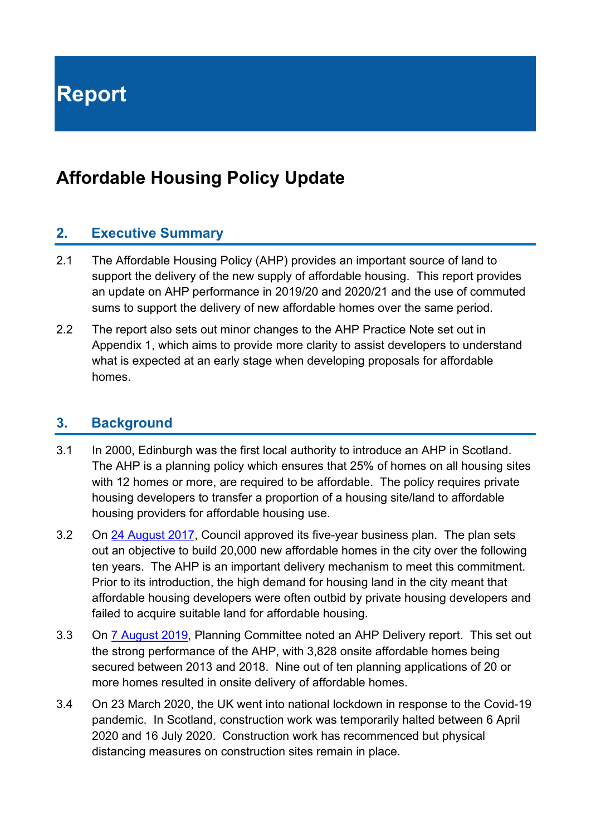**Report**

# **Affordable Housing Policy Update**

#### **2. Executive Summary**

- 2.1 The Affordable Housing Policy (AHP) provides an important source of land to support the delivery of the new supply of affordable housing. This report provides an update on AHP performance in 2019/20 and 2020/21 and the use of commuted sums to support the delivery of new affordable homes over the same period.
- 2.2 The report also sets out minor changes to the AHP Practice Note set out in Appendix 1, which aims to provide more clarity to assist developers to understand what is expected at an early stage when developing proposals for affordable homes.

#### **3. Background**

- 3.1 In 2000, Edinburgh was the first local authority to introduce an AHP in Scotland. The AHP is a planning policy which ensures that 25% of homes on all housing sites with 12 homes or more, are required to be affordable. The policy requires private housing developers to transfer a proportion of a housing site/land to affordable housing providers for affordable housing use.
- 3.2 On [24 August 2017,](https://democracy.edinburgh.gov.uk/Data/City%20of%20Edinburgh%20Council/20170824/Agenda/$item_81_-_programme_for_the_capital_-_the_city_of_edinburgh_council_business_plan_2017-22.xls.pdf) Council approved its five-year business plan. The plan sets out an objective to build 20,000 new affordable homes in the city over the following ten years. The AHP is an important delivery mechanism to meet this commitment. Prior to its introduction, the high demand for housing land in the city meant that affordable housing developers were often outbid by private housing developers and failed to acquire suitable land for affordable housing.
- 3.3 On [7 August 2019,](https://democracy.edinburgh.gov.uk/documents/s4200/8.1%20-%20Affordable%20Housing%20Policy%20Delivery.pdf) Planning Committee noted an AHP Delivery report. This set out the strong performance of the AHP, with 3,828 onsite affordable homes being secured between 2013 and 2018. Nine out of ten planning applications of 20 or more homes resulted in onsite delivery of affordable homes.
- 3.4 On 23 March 2020, the UK went into national lockdown in response to the Covid-19 pandemic. In Scotland, construction work was temporarily halted between 6 April 2020 and 16 July 2020. Construction work has recommenced but physical distancing measures on construction sites remain in place.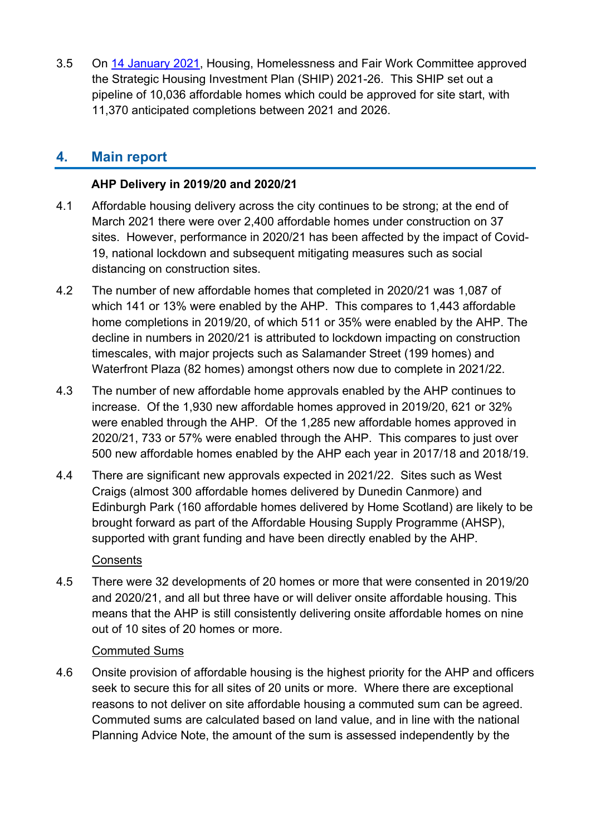3.5 On 14 [January 2021,](https://democracy.edinburgh.gov.uk/documents/s30291/7.1%20-%20Strategic%20Housing%20Investment%20Plan%20SHIP%202021-2026.pdf) Housing, Homelessness and Fair Work Committee approved the Strategic Housing Investment Plan (SHIP) 2021-26. This SHIP set out a pipeline of 10,036 affordable homes which could be approved for site start, with 11,370 anticipated completions between 2021 and 2026.

# **4. Main report**

#### **AHP Delivery in 2019/20 and 2020/21**

- 4.1 Affordable housing delivery across the city continues to be strong; at the end of March 2021 there were over 2,400 affordable homes under construction on 37 sites. However, performance in 2020/21 has been affected by the impact of Covid-19, national lockdown and subsequent mitigating measures such as social distancing on construction sites.
- 4.2 The number of new affordable homes that completed in 2020/21 was 1,087 of which 141 or 13% were enabled by the AHP. This compares to 1,443 affordable home completions in 2019/20, of which 511 or 35% were enabled by the AHP. The decline in numbers in 2020/21 is attributed to lockdown impacting on construction timescales, with major projects such as Salamander Street (199 homes) and Waterfront Plaza (82 homes) amongst others now due to complete in 2021/22.
- 4.3 The number of new affordable home approvals enabled by the AHP continues to increase. Of the 1,930 new affordable homes approved in 2019/20, 621 or 32% were enabled through the AHP. Of the 1,285 new affordable homes approved in 2020/21, 733 or 57% were enabled through the AHP. This compares to just over 500 new affordable homes enabled by the AHP each year in 2017/18 and 2018/19.
- 4.4 There are significant new approvals expected in 2021/22. Sites such as West Craigs (almost 300 affordable homes delivered by Dunedin Canmore) and Edinburgh Park (160 affordable homes delivered by Home Scotland) are likely to be brought forward as part of the Affordable Housing Supply Programme (AHSP), supported with grant funding and have been directly enabled by the AHP.

**Consents** 

4.5 There were 32 developments of 20 homes or more that were consented in 2019/20 and 2020/21, and all but three have or will deliver onsite affordable housing. This means that the AHP is still consistently delivering onsite affordable homes on nine out of 10 sites of 20 homes or more.

#### Commuted Sums

4.6 Onsite provision of affordable housing is the highest priority for the AHP and officers seek to secure this for all sites of 20 units or more. Where there are exceptional reasons to not deliver on site affordable housing a commuted sum can be agreed. Commuted sums are calculated based on land value, and in line with the national Planning Advice Note, the amount of the sum is assessed independently by the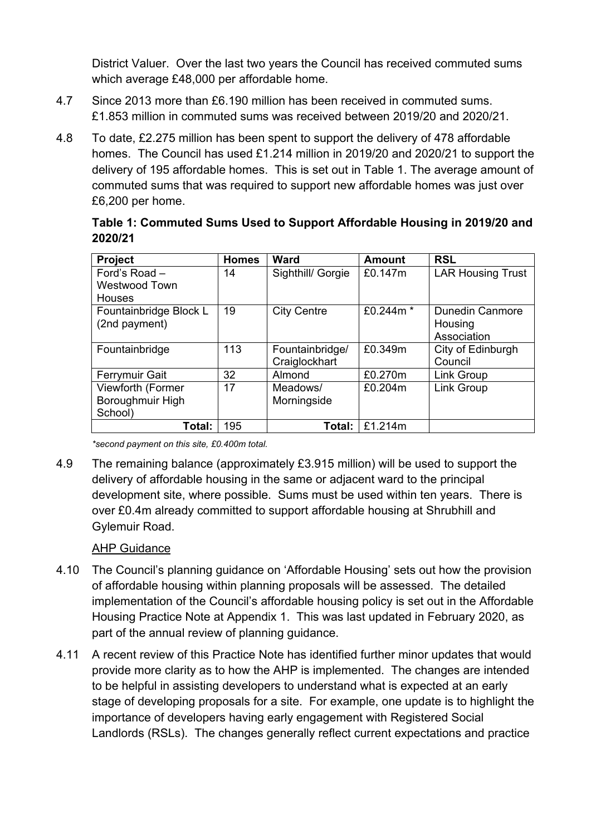District Valuer. Over the last two years the Council has received commuted sums which average £48,000 per affordable home.

- 4.7 Since 2013 more than £6.190 million has been received in commuted sums. £1.853 million in commuted sums was received between 2019/20 and 2020/21.
- 4.8 To date, £2.275 million has been spent to support the delivery of 478 affordable homes. The Council has used £1.214 million in 2019/20 and 2020/21 to support the delivery of 195 affordable homes. This is set out in Table 1. The average amount of commuted sums that was required to support new affordable homes was just over £6,200 per home.

| Table 1: Commuted Sums Used to Support Affordable Housing in 2019/20 and |  |
|--------------------------------------------------------------------------|--|
| 2020/21                                                                  |  |

| <b>Project</b>                                         | <b>Homes</b> | <b>Ward</b>                      | <b>Amount</b> | <b>RSL</b>                                       |
|--------------------------------------------------------|--------------|----------------------------------|---------------|--------------------------------------------------|
| Ford's Road -<br><b>Westwood Town</b><br><b>Houses</b> | 14           | Sighthill/ Gorgie                | £0.147m       | <b>LAR Housing Trust</b>                         |
| Fountainbridge Block L<br>(2nd payment)                | 19           | <b>City Centre</b>               | £0.244m *     | <b>Dunedin Canmore</b><br>Housing<br>Association |
| Fountainbridge                                         | 113          | Fountainbridge/<br>Craiglockhart | £0.349m       | City of Edinburgh<br>Council                     |
| <b>Ferrymuir Gait</b>                                  | 32           | Almond                           | £0.270m       | Link Group                                       |
| Viewforth (Former<br>Boroughmuir High<br>School)       | 17           | Meadows/<br>Morningside          | £0.204m       | <b>Link Group</b>                                |
| Total:                                                 | 195          | Total:                           | £1.214m       |                                                  |

*\*second payment on this site, £0.400m total.*

4.9 The remaining balance (approximately £3.915 million) will be used to support the delivery of affordable housing in the same or adjacent ward to the principal development site, where possible. Sums must be used within ten years. There is over £0.4m already committed to support affordable housing at Shrubhill and Gylemuir Road.

#### AHP Guidance

- 4.10 The Council's planning guidance on 'Affordable Housing' sets out how the provision of affordable housing within planning proposals will be assessed. The detailed implementation of the Council's affordable housing policy is set out in the Affordable Housing Practice Note at Appendix 1. This was last updated in February 2020, as part of the annual review of planning guidance.
- 4.11 A recent review of this Practice Note has identified further minor updates that would provide more clarity as to how the AHP is implemented. The changes are intended to be helpful in assisting developers to understand what is expected at an early stage of developing proposals for a site. For example, one update is to highlight the importance of developers having early engagement with Registered Social Landlords (RSLs). The changes generally reflect current expectations and practice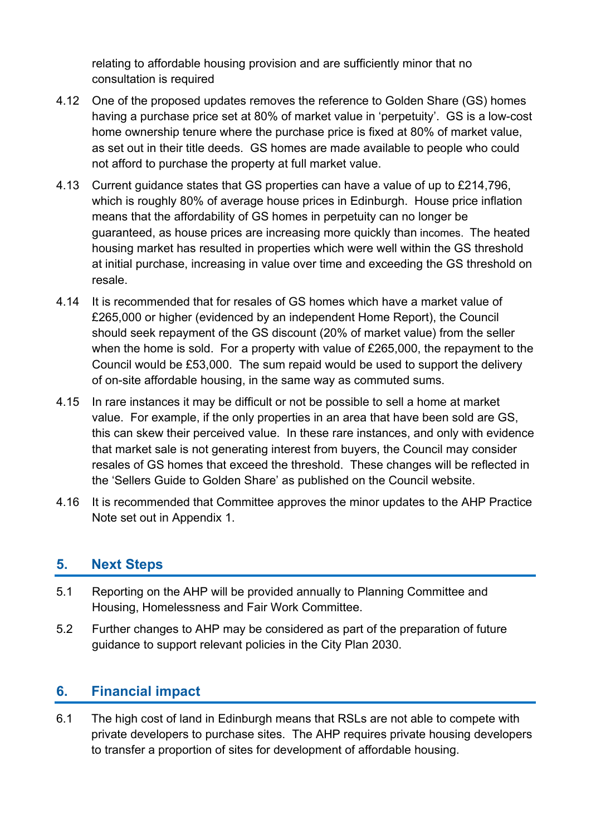relating to affordable housing provision and are sufficiently minor that no consultation is required

- 4.12 One of the proposed updates removes the reference to Golden Share (GS) homes having a purchase price set at 80% of market value in 'perpetuity'. GS is a low-cost home ownership tenure where the purchase price is fixed at 80% of market value, as set out in their title deeds. GS homes are made available to people who could not afford to purchase the property at full market value.
- 4.13 Current guidance states that GS properties can have a value of up to £214,796, which is roughly 80% of average house prices in Edinburgh. House price inflation means that the affordability of GS homes in perpetuity can no longer be guaranteed, as house prices are increasing more quickly than incomes. The heated housing market has resulted in properties which were well within the GS threshold at initial purchase, increasing in value over time and exceeding the GS threshold on resale.
- 4.14 It is recommended that for resales of GS homes which have a market value of £265,000 or higher (evidenced by an independent Home Report), the Council should seek repayment of the GS discount (20% of market value) from the seller when the home is sold. For a property with value of £265,000, the repayment to the Council would be £53,000. The sum repaid would be used to support the delivery of on-site affordable housing, in the same way as commuted sums.
- 4.15 In rare instances it may be difficult or not be possible to sell a home at market value. For example, if the only properties in an area that have been sold are GS, this can skew their perceived value. In these rare instances, and only with evidence that market sale is not generating interest from buyers, the Council may consider resales of GS homes that exceed the threshold. These changes will be reflected in the 'Sellers Guide to Golden Share' as published on the Council website.
- 4.16 It is recommended that Committee approves the minor updates to the AHP Practice Note set out in Appendix 1.

## **5. Next Steps**

- 5.1 Reporting on the AHP will be provided annually to Planning Committee and Housing, Homelessness and Fair Work Committee.
- 5.2 Further changes to AHP may be considered as part of the preparation of future guidance to support relevant policies in the City Plan 2030.

# **6. Financial impact**

6.1 The high cost of land in Edinburgh means that RSLs are not able to compete with private developers to purchase sites. The AHP requires private housing developers to transfer a proportion of sites for development of affordable housing.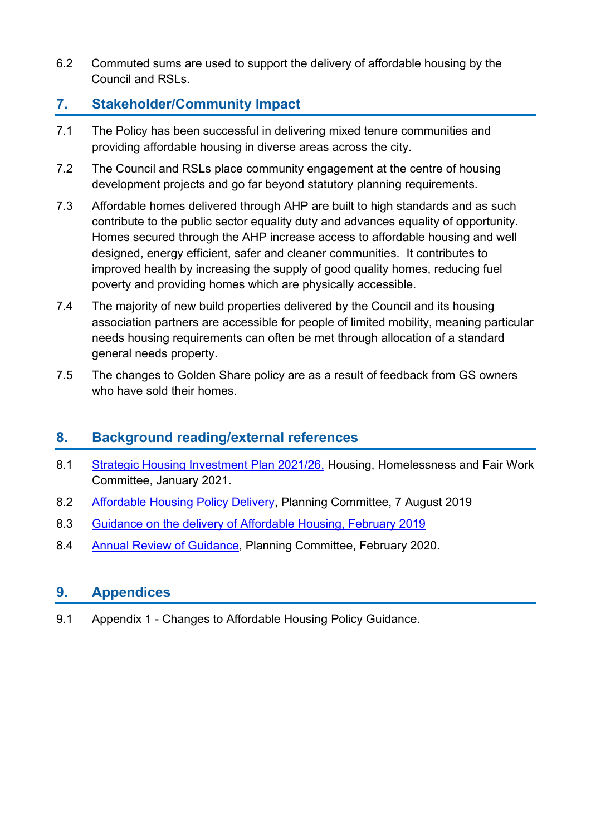6.2 Commuted sums are used to support the delivery of affordable housing by the Council and RSLs.

# **7. Stakeholder/Community Impact**

- 7.1 The Policy has been successful in delivering mixed tenure communities and providing affordable housing in diverse areas across the city.
- 7.2 The Council and RSLs place community engagement at the centre of housing development projects and go far beyond statutory planning requirements.
- 7.3 Affordable homes delivered through AHP are built to high standards and as such contribute to the public sector equality duty and advances equality of opportunity. Homes secured through the AHP increase access to affordable housing and well designed, energy efficient, safer and cleaner communities. It contributes to improved health by increasing the supply of good quality homes, reducing fuel poverty and providing homes which are physically accessible.
- 7.4 The majority of new build properties delivered by the Council and its housing association partners are accessible for people of limited mobility, meaning particular needs housing requirements can often be met through allocation of a standard general needs property.
- 7.5 The changes to Golden Share policy are as a result of feedback from GS owners who have sold their homes.

# **8. Background reading/external references**

- 8.1 [Strategic Housing Investment Plan 2021/26,](https://democracy.edinburgh.gov.uk/ieListDocuments.aspx?CId=141&MId=5691) Housing, Homelessness and Fair Work Committee, January 2021.
- 8.2 [Affordable Housing Policy Delivery,](https://democracy.edinburgh.gov.uk/ieListDocuments.aspx?CId=147&MId=323) Planning Committee, 7 August 2019
- 8.3 [Guidance on the delivery of Affordable Housing, February 2019](https://www.google.com/url?sa=t&source=web&rct=j&url=https://www.edinburgh.gov.uk/downloads/file/24486/affordable-housing&ved=2ahUKEwiOx62iwvHvAhUt_7sIHQERCLwQFjADegQIBxAC&usg=AOvVaw212bDmYJZhTMswBZk4Tsh6)
- 8.4 [Annual Review of Guidance,](https://democracy.edinburgh.gov.uk/ieListDocuments.aspx?CId=147&MId=323) Planning Committee, February 2020.

## **9. Appendices**

9.1 Appendix 1 - Changes to Affordable Housing Policy Guidance.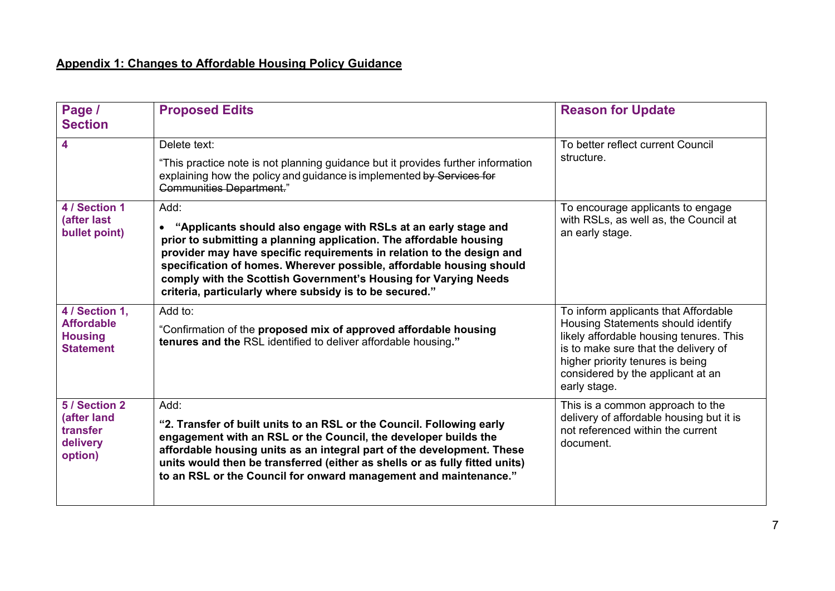## **Appendix 1: Changes to Affordable Housing Policy Guidance**

| Page /<br><b>Section</b>                                | <b>Proposed Edits</b>                                                                                                                                                                                                                                                                                                                                                                                               | <b>Reason for Update</b>                                                                                                                                                                                       |
|---------------------------------------------------------|---------------------------------------------------------------------------------------------------------------------------------------------------------------------------------------------------------------------------------------------------------------------------------------------------------------------------------------------------------------------------------------------------------------------|----------------------------------------------------------------------------------------------------------------------------------------------------------------------------------------------------------------|
| 4                                                       | Delete text:                                                                                                                                                                                                                                                                                                                                                                                                        | To better reflect current Council                                                                                                                                                                              |
|                                                         | "This practice note is not planning guidance but it provides further information<br>explaining how the policy and guidance is implemented by Services for<br><b>Communities Department."</b>                                                                                                                                                                                                                        | structure.                                                                                                                                                                                                     |
| 4 / Section 1                                           | Add:                                                                                                                                                                                                                                                                                                                                                                                                                | To encourage applicants to engage<br>with RSLs, as well as, the Council at<br>an early stage.                                                                                                                  |
| (after last<br>bullet point)                            | "Applicants should also engage with RSLs at an early stage and<br>prior to submitting a planning application. The affordable housing<br>provider may have specific requirements in relation to the design and<br>specification of homes. Wherever possible, affordable housing should<br>comply with the Scottish Government's Housing for Varying Needs<br>criteria, particularly where subsidy is to be secured." |                                                                                                                                                                                                                |
| 4 / Section 1,                                          | Add to:                                                                                                                                                                                                                                                                                                                                                                                                             | To inform applicants that Affordable                                                                                                                                                                           |
| <b>Affordable</b><br><b>Housing</b><br><b>Statement</b> | "Confirmation of the proposed mix of approved affordable housing<br>tenures and the RSL identified to deliver affordable housing."                                                                                                                                                                                                                                                                                  | Housing Statements should identify<br>likely affordable housing tenures. This<br>is to make sure that the delivery of<br>higher priority tenures is being<br>considered by the applicant at an<br>early stage. |
| 5 / Section 2                                           | Add:                                                                                                                                                                                                                                                                                                                                                                                                                | This is a common approach to the                                                                                                                                                                               |
| (after land<br>transfer<br>delivery<br>option)          | "2. Transfer of built units to an RSL or the Council. Following early<br>engagement with an RSL or the Council, the developer builds the<br>affordable housing units as an integral part of the development. These<br>units would then be transferred (either as shells or as fully fitted units)<br>to an RSL or the Council for onward management and maintenance."                                               | delivery of affordable housing but it is<br>not referenced within the current<br>document.                                                                                                                     |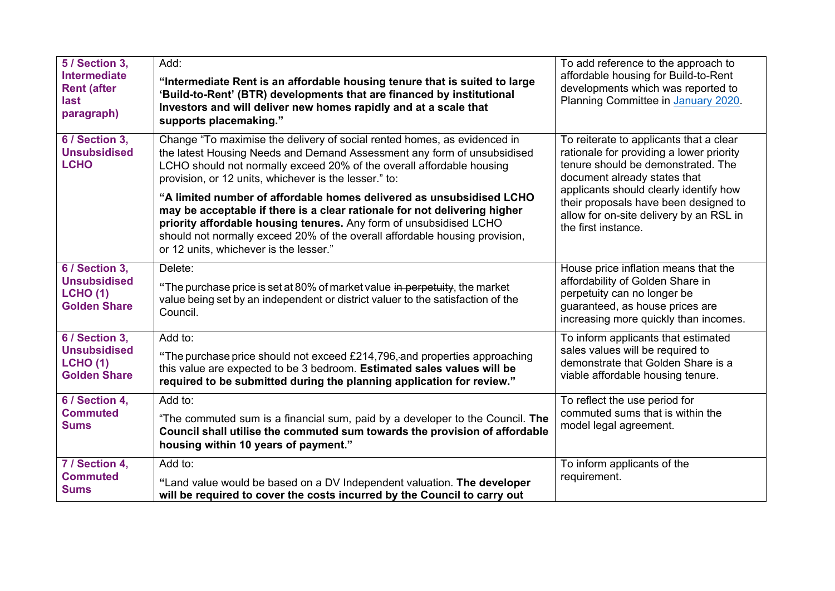| 5 / Section 3,<br><b>Intermediate</b><br><b>Rent (after</b><br>last<br>paragraph) | Add:<br>"Intermediate Rent is an affordable housing tenure that is suited to large<br>'Build-to-Rent' (BTR) developments that are financed by institutional<br>Investors and will deliver new homes rapidly and at a scale that<br>supports placemaking."                                                                                                                                                                                                                                                                                                                                                                                 | To add reference to the approach to<br>affordable housing for Build-to-Rent<br>developments which was reported to<br>Planning Committee in January 2020.                                                                                                                                                       |
|-----------------------------------------------------------------------------------|-------------------------------------------------------------------------------------------------------------------------------------------------------------------------------------------------------------------------------------------------------------------------------------------------------------------------------------------------------------------------------------------------------------------------------------------------------------------------------------------------------------------------------------------------------------------------------------------------------------------------------------------|----------------------------------------------------------------------------------------------------------------------------------------------------------------------------------------------------------------------------------------------------------------------------------------------------------------|
| 6 / Section 3,<br><b>Unsubsidised</b><br><b>LCHO</b>                              | Change "To maximise the delivery of social rented homes, as evidenced in<br>the latest Housing Needs and Demand Assessment any form of unsubsidised<br>LCHO should not normally exceed 20% of the overall affordable housing<br>provision, or 12 units, whichever is the lesser." to:<br>"A limited number of affordable homes delivered as unsubsidised LCHO<br>may be acceptable if there is a clear rationale for not delivering higher<br>priority affordable housing tenures. Any form of unsubsidised LCHO<br>should not normally exceed 20% of the overall affordable housing provision,<br>or 12 units, whichever is the lesser." | To reiterate to applicants that a clear<br>rationale for providing a lower priority<br>tenure should be demonstrated. The<br>document already states that<br>applicants should clearly identify how<br>their proposals have been designed to<br>allow for on-site delivery by an RSL in<br>the first instance. |
| 6 / Section 3,<br><b>Unsubsidised</b><br><b>LCHO (1)</b><br><b>Golden Share</b>   | Delete:<br>"The purchase price is set at 80% of market value in perpetuity, the market<br>value being set by an independent or district valuer to the satisfaction of the<br>Council.                                                                                                                                                                                                                                                                                                                                                                                                                                                     | House price inflation means that the<br>affordability of Golden Share in<br>perpetuity can no longer be<br>guaranteed, as house prices are<br>increasing more quickly than incomes.                                                                                                                            |
| 6 / Section 3,<br><b>Unsubsidised</b><br><b>LCHO (1)</b><br><b>Golden Share</b>   | Add to:<br>"The purchase price should not exceed £214,796, and properties approaching<br>this value are expected to be 3 bedroom. Estimated sales values will be<br>required to be submitted during the planning application for review."                                                                                                                                                                                                                                                                                                                                                                                                 | To inform applicants that estimated<br>sales values will be required to<br>demonstrate that Golden Share is a<br>viable affordable housing tenure.                                                                                                                                                             |
| 6 / Section 4,<br><b>Commuted</b><br><b>Sums</b>                                  | Add to:<br>"The commuted sum is a financial sum, paid by a developer to the Council. The<br>Council shall utilise the commuted sum towards the provision of affordable<br>housing within 10 years of payment."                                                                                                                                                                                                                                                                                                                                                                                                                            | To reflect the use period for<br>commuted sums that is within the<br>model legal agreement.                                                                                                                                                                                                                    |
| 7 / Section 4,<br><b>Commuted</b><br><b>Sums</b>                                  | Add to:<br>"Land value would be based on a DV Independent valuation. The developer<br>will be required to cover the costs incurred by the Council to carry out                                                                                                                                                                                                                                                                                                                                                                                                                                                                            | To inform applicants of the<br>requirement.                                                                                                                                                                                                                                                                    |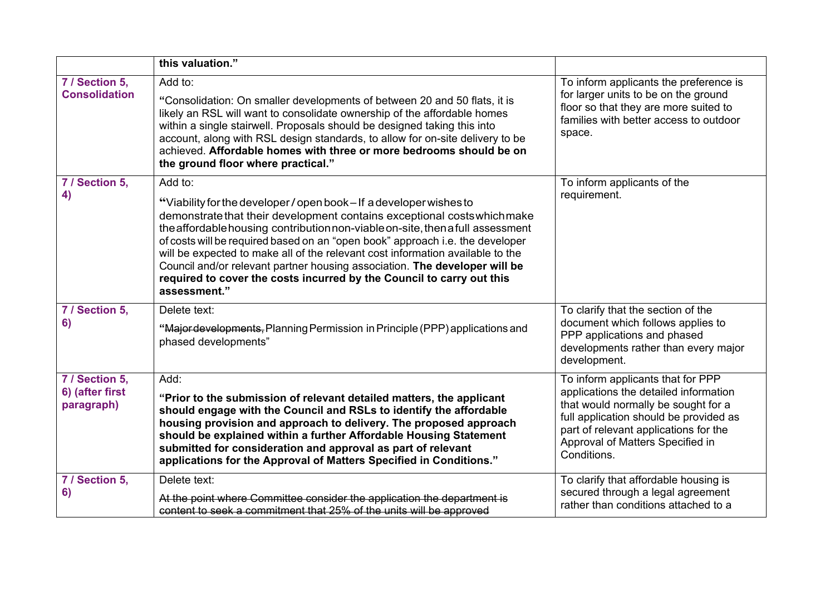|                                                 | this valuation."                                                                                                                                                                                                                                                                                                                                                                                                                                                                                                                                                                       |                                                                                                                                                                                                                                                         |
|-------------------------------------------------|----------------------------------------------------------------------------------------------------------------------------------------------------------------------------------------------------------------------------------------------------------------------------------------------------------------------------------------------------------------------------------------------------------------------------------------------------------------------------------------------------------------------------------------------------------------------------------------|---------------------------------------------------------------------------------------------------------------------------------------------------------------------------------------------------------------------------------------------------------|
| 7 / Section 5,<br><b>Consolidation</b>          | Add to:<br>"Consolidation: On smaller developments of between 20 and 50 flats, it is<br>likely an RSL will want to consolidate ownership of the affordable homes<br>within a single stairwell. Proposals should be designed taking this into<br>account, along with RSL design standards, to allow for on-site delivery to be<br>achieved. Affordable homes with three or more bedrooms should be on<br>the ground floor where practical."                                                                                                                                             | To inform applicants the preference is<br>for larger units to be on the ground<br>floor so that they are more suited to<br>families with better access to outdoor<br>space.                                                                             |
| 7 / Section 5,<br>4)                            | Add to:<br>"Viability for the developer / open book - If a developer wishes to<br>demonstrate that their development contains exceptional costs which make<br>the affordable housing contribution non-viable on-site, then a full assessment<br>of costs will be required based on an "open book" approach i.e. the developer<br>will be expected to make all of the relevant cost information available to the<br>Council and/or relevant partner housing association. The developer will be<br>required to cover the costs incurred by the Council to carry out this<br>assessment." | To inform applicants of the<br>requirement.                                                                                                                                                                                                             |
| 7 / Section 5,<br>6)                            | Delete text:<br>"Major developments, Planning Permission in Principle (PPP) applications and<br>phased developments"                                                                                                                                                                                                                                                                                                                                                                                                                                                                   | To clarify that the section of the<br>document which follows applies to<br>PPP applications and phased<br>developments rather than every major<br>development.                                                                                          |
| 7 / Section 5,<br>6) (after first<br>paragraph) | Add:<br>"Prior to the submission of relevant detailed matters, the applicant<br>should engage with the Council and RSLs to identify the affordable<br>housing provision and approach to delivery. The proposed approach<br>should be explained within a further Affordable Housing Statement<br>submitted for consideration and approval as part of relevant<br>applications for the Approval of Matters Specified in Conditions."                                                                                                                                                     | To inform applicants that for PPP<br>applications the detailed information<br>that would normally be sought for a<br>full application should be provided as<br>part of relevant applications for the<br>Approval of Matters Specified in<br>Conditions. |
| 7 / Section 5,<br>6)                            | Delete text:<br>At the point where Committee consider the application the department is<br>content to seek a commitment that 25% of the units will be approved                                                                                                                                                                                                                                                                                                                                                                                                                         | To clarify that affordable housing is<br>secured through a legal agreement<br>rather than conditions attached to a                                                                                                                                      |